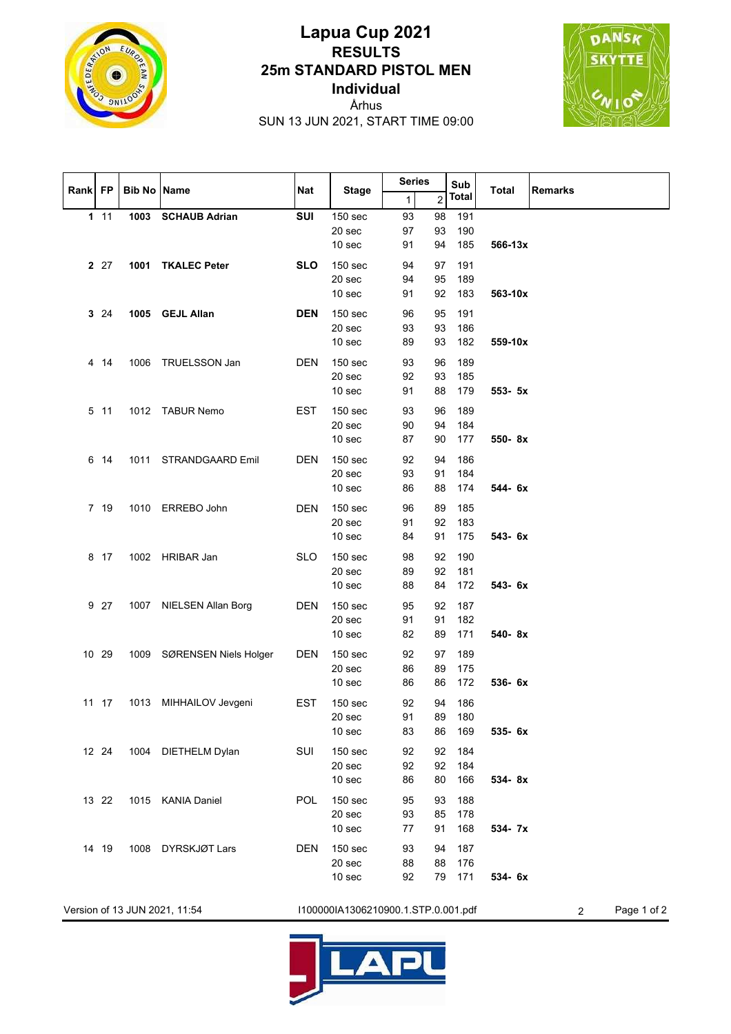

## **Lapua Cup 2021 RESULTS 25m STANDARD PISTOL MEN Individual**

DANSK **SKYTTE** 

Århus SUN 13 JUN 2021, START TIME 09:00

|         |        |                    |                            |            |                                                              | <b>Series</b>      |                         | Sub                  |              |                |
|---------|--------|--------------------|----------------------------|------------|--------------------------------------------------------------|--------------------|-------------------------|----------------------|--------------|----------------|
| Rank FP |        | <b>Bib No Name</b> |                            | <b>Nat</b> | <b>Stage</b>                                                 | 1                  | $\overline{\mathbf{c}}$ | <b>Total</b>         | <b>Total</b> | <b>Remarks</b> |
|         | $1 11$ |                    | 1003 SCHAUB Adrian         | SUI        | 150 sec<br>20 sec<br>10 <sub>sec</sub>                       | 93<br>97<br>91     | 98<br>93<br>94          | 191<br>190<br>185    | 566-13x      |                |
|         | 2 27   |                    | 1001 TKALEC Peter          | <b>SLO</b> | 150 <sub>sec</sub><br>20 sec<br>10 sec                       | 94<br>94<br>91     | 97<br>95<br>92          | 191<br>189<br>183    | 563-10x      |                |
|         | 3 24   |                    | 1005 GEJL Allan            | <b>DEN</b> | 150 sec<br>20 sec<br>10 sec                                  | 96<br>93<br>89     | 95<br>93<br>93          | 191<br>186<br>182    | 559-10x      |                |
|         | 4 14   | 1006               | TRUELSSON Jan              | <b>DEN</b> | 150 <sub>sec</sub><br>20 sec<br>10 sec                       | 93<br>92<br>91     | 96<br>93<br>88          | 189<br>185<br>179    | 553- 5x      |                |
|         | 5 11   |                    | 1012 TABUR Nemo            | <b>EST</b> | 150 sec<br>20 sec<br>10 sec                                  | 93<br>$90\,$<br>87 | 96<br>94<br>90          | 189<br>184<br>177    | 550-8x       |                |
|         | 6 14   |                    | 1011 STRANDGAARD Emil      | <b>DEN</b> | 150 sec<br>20 sec<br>10 sec                                  | 92<br>93<br>86     | 94<br>91<br>88          | 186<br>184<br>174    | 544- 6x      |                |
|         | 7 19   |                    | 1010 ERREBO John           | <b>DEN</b> | 150 <sub>sec</sub><br>20 sec<br>10 sec                       | 96<br>91<br>84     | 89<br>92<br>91          | 185<br>183<br>175    | 543-6x       |                |
|         | 8 17   |                    | 1002 HRIBAR Jan            | <b>SLO</b> | 150 sec<br>20 sec<br>10 <sub>sec</sub>                       | 98<br>89<br>88     | 92<br>92<br>84          | 190<br>181<br>172    | 543-6x       |                |
|         | 9 27   | 1007               | NIELSEN Allan Borg         | <b>DEN</b> | 150 sec<br>20 sec<br>10 sec                                  | 95<br>91<br>82     | 92<br>91<br>89          | 187<br>182<br>171    | 540-8x       |                |
|         | 10 29  |                    | 1009 SØRENSEN Niels Holger | <b>DEN</b> | 150 sec<br>20 sec<br>10 <sub>sec</sub>                       | 92<br>86<br>86     | 97<br>89<br>86          | 189<br>175<br>172    | 536- 6x      |                |
|         | 11 17  |                    | 1013 MIHHAILOV Jevgeni     | <b>EST</b> | 150 <sub>sec</sub><br>20 <sub>sec</sub><br>10 <sub>sec</sub> | 92<br>91<br>83     | 94<br>89<br>86          | 186<br>180<br>169    | 535- 6x      |                |
|         | 12 24  |                    | 1004 DIETHELM Dylan        | SUI        | 150 sec<br>20 sec<br>10 sec                                  | 92<br>92<br>86     | 92<br>92<br>80          | 184<br>184<br>166    | 534-8x       |                |
|         | 13 22  |                    | 1015 KANIA Daniel          | POL        | 150 <sub>sec</sub><br>20 sec<br>10 sec                       | 95<br>93<br>77     | 93<br>85<br>91          | 188<br>178<br>168    | 534- 7x      |                |
|         | 14 19  |                    | 1008 DYRSKJØT Lars         | <b>DEN</b> | 150 <sub>sec</sub><br>20 sec<br>10 sec                       | 93<br>88<br>92     | 94<br>88                | 187<br>176<br>79 171 | 534- 6x      |                |

Version of 13 JUN 2021, 11:54 I100000IA1306210900.1.STP.0.001.pdf 2 Page 1 of 2